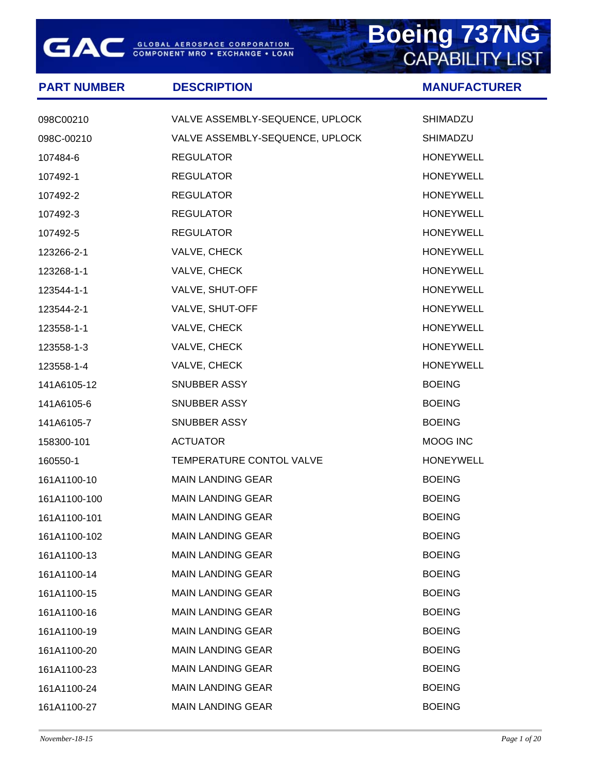## **GAC** GLOBAL AEROSPACE CORPORATION

## **PART NUMBER DESCRIPTION MANUFACTURER**

| <b>Boeing 737NG</b> |                       |  |
|---------------------|-----------------------|--|
|                     | <b>CAPABILITY LIS</b> |  |
|                     |                       |  |

| 098C00210    | VALVE ASSEMBLY-SEQUENCE, UPLOCK | SHIMADZU         |
|--------------|---------------------------------|------------------|
| 098C-00210   | VALVE ASSEMBLY-SEQUENCE, UPLOCK | SHIMADZU         |
| 107484-6     | <b>REGULATOR</b>                | <b>HONEYWELL</b> |
| 107492-1     | <b>REGULATOR</b>                | <b>HONEYWELL</b> |
| 107492-2     | <b>REGULATOR</b>                | <b>HONEYWELL</b> |
| 107492-3     | <b>REGULATOR</b>                | <b>HONEYWELL</b> |
| 107492-5     | <b>REGULATOR</b>                | <b>HONEYWELL</b> |
| 123266-2-1   | VALVE, CHECK                    | <b>HONEYWELL</b> |
| 123268-1-1   | VALVE, CHECK                    | <b>HONEYWELL</b> |
| 123544-1-1   | VALVE, SHUT-OFF                 | <b>HONEYWELL</b> |
| 123544-2-1   | VALVE, SHUT-OFF                 | <b>HONEYWELL</b> |
| 123558-1-1   | VALVE, CHECK                    | <b>HONEYWELL</b> |
| 123558-1-3   | VALVE, CHECK                    | <b>HONEYWELL</b> |
| 123558-1-4   | VALVE, CHECK                    | <b>HONEYWELL</b> |
| 141A6105-12  | <b>SNUBBER ASSY</b>             | <b>BOEING</b>    |
| 141A6105-6   | <b>SNUBBER ASSY</b>             | <b>BOEING</b>    |
| 141A6105-7   | SNUBBER ASSY                    | <b>BOEING</b>    |
| 158300-101   | <b>ACTUATOR</b>                 | MOOG INC         |
| 160550-1     | TEMPERATURE CONTOL VALVE        | <b>HONEYWELL</b> |
| 161A1100-10  | <b>MAIN LANDING GEAR</b>        | <b>BOEING</b>    |
| 161A1100-100 | <b>MAIN LANDING GEAR</b>        | <b>BOEING</b>    |
| 161A1100-101 | <b>MAIN LANDING GEAR</b>        | <b>BOEING</b>    |
| 161A1100-102 | <b>MAIN LANDING GEAR</b>        | <b>BOEING</b>    |
| 161A1100-13  | <b>MAIN LANDING GEAR</b>        | <b>BOEING</b>    |
| 161A1100-14  | <b>MAIN LANDING GEAR</b>        | <b>BOEING</b>    |
| 161A1100-15  | <b>MAIN LANDING GEAR</b>        | <b>BOEING</b>    |
| 161A1100-16  | <b>MAIN LANDING GEAR</b>        | <b>BOEING</b>    |
| 161A1100-19  | <b>MAIN LANDING GEAR</b>        | <b>BOEING</b>    |
| 161A1100-20  | <b>MAIN LANDING GEAR</b>        | <b>BOEING</b>    |
| 161A1100-23  | <b>MAIN LANDING GEAR</b>        | <b>BOEING</b>    |
| 161A1100-24  | <b>MAIN LANDING GEAR</b>        | <b>BOEING</b>    |
| 161A1100-27  | <b>MAIN LANDING GEAR</b>        | <b>BOEING</b>    |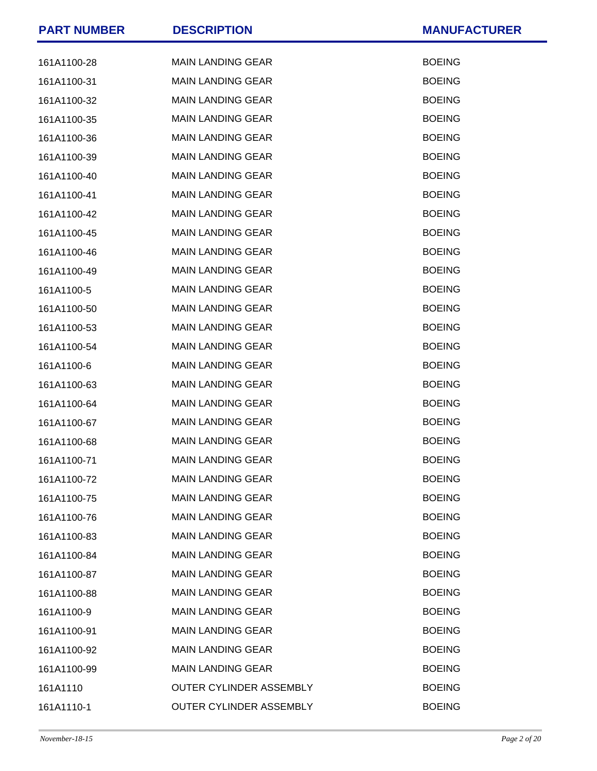| <b>PART NUMBER</b> | <b>DESCRIPTION</b>             | <b>MANUFACTURER</b> |
|--------------------|--------------------------------|---------------------|
| 161A1100-28        | <b>MAIN LANDING GEAR</b>       | <b>BOEING</b>       |
| 161A1100-31        | <b>MAIN LANDING GEAR</b>       | <b>BOEING</b>       |
| 161A1100-32        | <b>MAIN LANDING GEAR</b>       | <b>BOEING</b>       |
| 161A1100-35        | <b>MAIN LANDING GEAR</b>       | <b>BOEING</b>       |
| 161A1100-36        | <b>MAIN LANDING GEAR</b>       | <b>BOEING</b>       |
| 161A1100-39        | <b>MAIN LANDING GEAR</b>       | <b>BOEING</b>       |
| 161A1100-40        | <b>MAIN LANDING GEAR</b>       | <b>BOEING</b>       |
| 161A1100-41        | <b>MAIN LANDING GEAR</b>       | <b>BOEING</b>       |
| 161A1100-42        | <b>MAIN LANDING GEAR</b>       | <b>BOEING</b>       |
| 161A1100-45        | <b>MAIN LANDING GEAR</b>       | <b>BOEING</b>       |
| 161A1100-46        | <b>MAIN LANDING GEAR</b>       | <b>BOEING</b>       |
| 161A1100-49        | <b>MAIN LANDING GEAR</b>       | <b>BOEING</b>       |
| 161A1100-5         | <b>MAIN LANDING GEAR</b>       | <b>BOEING</b>       |
| 161A1100-50        | <b>MAIN LANDING GEAR</b>       | <b>BOEING</b>       |
| 161A1100-53        | <b>MAIN LANDING GEAR</b>       | <b>BOEING</b>       |
| 161A1100-54        | <b>MAIN LANDING GEAR</b>       | <b>BOEING</b>       |
| 161A1100-6         | <b>MAIN LANDING GEAR</b>       | <b>BOEING</b>       |
| 161A1100-63        | <b>MAIN LANDING GEAR</b>       | <b>BOEING</b>       |
| 161A1100-64        | <b>MAIN LANDING GEAR</b>       | <b>BOEING</b>       |
| 161A1100-67        | <b>MAIN LANDING GEAR</b>       | <b>BOEING</b>       |
| 161A1100-68        | <b>MAIN LANDING GEAR</b>       | <b>BOEING</b>       |
| 161A1100-71        | <b>MAIN LANDING GEAR</b>       | <b>BOEING</b>       |
| 161A1100-72        | <b>MAIN LANDING GEAR</b>       | <b>BOEING</b>       |
| 161A1100-75        | <b>MAIN LANDING GEAR</b>       | <b>BOEING</b>       |
| 161A1100-76        | <b>MAIN LANDING GEAR</b>       | <b>BOEING</b>       |
| 161A1100-83        | <b>MAIN LANDING GEAR</b>       | <b>BOEING</b>       |
| 161A1100-84        | <b>MAIN LANDING GEAR</b>       | <b>BOEING</b>       |
| 161A1100-87        | <b>MAIN LANDING GEAR</b>       | <b>BOEING</b>       |
| 161A1100-88        | <b>MAIN LANDING GEAR</b>       | <b>BOEING</b>       |
| 161A1100-9         | <b>MAIN LANDING GEAR</b>       | <b>BOEING</b>       |
| 161A1100-91        | <b>MAIN LANDING GEAR</b>       | <b>BOEING</b>       |
| 161A1100-92        | <b>MAIN LANDING GEAR</b>       | <b>BOEING</b>       |
| 161A1100-99        | <b>MAIN LANDING GEAR</b>       | <b>BOEING</b>       |
| 161A1110           | <b>OUTER CYLINDER ASSEMBLY</b> | <b>BOEING</b>       |
| 161A1110-1         | OUTER CYLINDER ASSEMBLY        | <b>BOEING</b>       |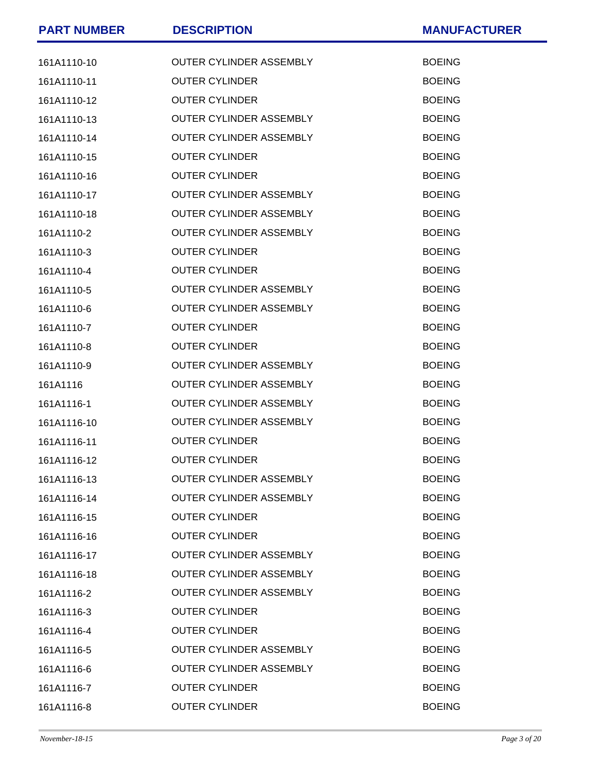| <b>PART NUMBER</b> | <b>DESCRIPTION</b>             | <b>MANUFACTURER</b> |
|--------------------|--------------------------------|---------------------|
| 161A1110-10        | OUTER CYLINDER ASSEMBLY        | <b>BOEING</b>       |
| 161A1110-11        | <b>OUTER CYLINDER</b>          | <b>BOEING</b>       |
| 161A1110-12        | <b>OUTER CYLINDER</b>          | <b>BOEING</b>       |
| 161A1110-13        | OUTER CYLINDER ASSEMBLY        | <b>BOEING</b>       |
| 161A1110-14        | <b>OUTER CYLINDER ASSEMBLY</b> | <b>BOEING</b>       |
| 161A1110-15        | <b>OUTER CYLINDER</b>          | <b>BOEING</b>       |
| 161A1110-16        | <b>OUTER CYLINDER</b>          | <b>BOEING</b>       |
| 161A1110-17        | OUTER CYLINDER ASSEMBLY        | <b>BOEING</b>       |
| 161A1110-18        | <b>OUTER CYLINDER ASSEMBLY</b> | <b>BOEING</b>       |
| 161A1110-2         | <b>OUTER CYLINDER ASSEMBLY</b> | <b>BOEING</b>       |
| 161A1110-3         | <b>OUTER CYLINDER</b>          | <b>BOEING</b>       |
| 161A1110-4         | <b>OUTER CYLINDER</b>          | <b>BOEING</b>       |
| 161A1110-5         | <b>OUTER CYLINDER ASSEMBLY</b> | <b>BOEING</b>       |
| 161A1110-6         | <b>OUTER CYLINDER ASSEMBLY</b> | <b>BOEING</b>       |
| 161A1110-7         | <b>OUTER CYLINDER</b>          | <b>BOEING</b>       |
| 161A1110-8         | <b>OUTER CYLINDER</b>          | <b>BOEING</b>       |
| 161A1110-9         | OUTER CYLINDER ASSEMBLY        | <b>BOEING</b>       |
| 161A1116           | <b>OUTER CYLINDER ASSEMBLY</b> | <b>BOEING</b>       |
| 161A1116-1         | <b>OUTER CYLINDER ASSEMBLY</b> | <b>BOEING</b>       |
| 161A1116-10        | <b>OUTER CYLINDER ASSEMBLY</b> | <b>BOEING</b>       |
| 161A1116-11        | <b>OUTER CYLINDER</b>          | <b>BOEING</b>       |
| 161A1116-12        | <b>OUTER CYLINDER</b>          | <b>BOEING</b>       |
| 161A1116-13        | <b>OUTER CYLINDER ASSEMBLY</b> | <b>BOEING</b>       |
| 161A1116-14        | <b>OUTER CYLINDER ASSEMBLY</b> | <b>BOEING</b>       |
| 161A1116-15        | <b>OUTER CYLINDER</b>          | <b>BOEING</b>       |
| 161A1116-16        | <b>OUTER CYLINDER</b>          | <b>BOEING</b>       |
| 161A1116-17        | <b>OUTER CYLINDER ASSEMBLY</b> | <b>BOEING</b>       |
| 161A1116-18        | <b>OUTER CYLINDER ASSEMBLY</b> | <b>BOEING</b>       |
| 161A1116-2         | <b>OUTER CYLINDER ASSEMBLY</b> | <b>BOEING</b>       |
| 161A1116-3         | <b>OUTER CYLINDER</b>          | <b>BOEING</b>       |
| 161A1116-4         | <b>OUTER CYLINDER</b>          | <b>BOEING</b>       |
| 161A1116-5         | <b>OUTER CYLINDER ASSEMBLY</b> | <b>BOEING</b>       |
| 161A1116-6         | <b>OUTER CYLINDER ASSEMBLY</b> | <b>BOEING</b>       |
| 161A1116-7         | <b>OUTER CYLINDER</b>          | <b>BOEING</b>       |
| 161A1116-8         | <b>OUTER CYLINDER</b>          | <b>BOEING</b>       |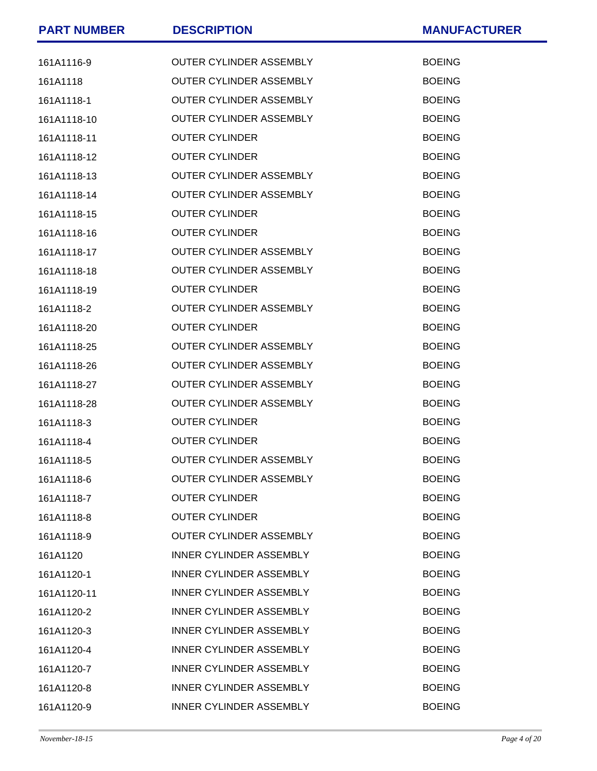| <b>PART NUMBER</b> | <b>DESCRIPTION</b>             | <b>MANUFACTURER</b> |
|--------------------|--------------------------------|---------------------|
| 161A1116-9         | <b>OUTER CYLINDER ASSEMBLY</b> | <b>BOEING</b>       |
| 161A1118           | <b>OUTER CYLINDER ASSEMBLY</b> | <b>BOEING</b>       |
| 161A1118-1         | OUTER CYLINDER ASSEMBLY        | <b>BOEING</b>       |
| 161A1118-10        | <b>OUTER CYLINDER ASSEMBLY</b> | <b>BOEING</b>       |
| 161A1118-11        | <b>OUTER CYLINDER</b>          | <b>BOEING</b>       |
| 161A1118-12        | <b>OUTER CYLINDER</b>          | <b>BOEING</b>       |
| 161A1118-13        | OUTER CYLINDER ASSEMBLY        | <b>BOEING</b>       |
| 161A1118-14        | <b>OUTER CYLINDER ASSEMBLY</b> | <b>BOEING</b>       |
| 161A1118-15        | <b>OUTER CYLINDER</b>          | <b>BOEING</b>       |
| 161A1118-16        | <b>OUTER CYLINDER</b>          | <b>BOEING</b>       |
| 161A1118-17        | OUTER CYLINDER ASSEMBLY        | <b>BOEING</b>       |
| 161A1118-18        | <b>OUTER CYLINDER ASSEMBLY</b> | <b>BOEING</b>       |
| 161A1118-19        | <b>OUTER CYLINDER</b>          | <b>BOEING</b>       |
| 161A1118-2         | <b>OUTER CYLINDER ASSEMBLY</b> | <b>BOEING</b>       |
| 161A1118-20        | <b>OUTER CYLINDER</b>          | <b>BOEING</b>       |
| 161A1118-25        | OUTER CYLINDER ASSEMBLY        | <b>BOEING</b>       |
| 161A1118-26        | OUTER CYLINDER ASSEMBLY        | <b>BOEING</b>       |
| 161A1118-27        | <b>OUTER CYLINDER ASSEMBLY</b> | <b>BOEING</b>       |
| 161A1118-28        | <b>OUTER CYLINDER ASSEMBLY</b> | <b>BOEING</b>       |
| 161A1118-3         | <b>OUTER CYLINDER</b>          | <b>BOEING</b>       |
| 161A1118-4         | <b>OUTER CYLINDER</b>          | <b>BOEING</b>       |
| 161A1118-5         | OUTER CYLINDER ASSEMBLY        | <b>BOEING</b>       |
| 161A1118-6         | <b>OUTER CYLINDER ASSEMBLY</b> | <b>BOEING</b>       |
| 161A1118-7         | <b>OUTER CYLINDER</b>          | <b>BOEING</b>       |
| 161A1118-8         | <b>OUTER CYLINDER</b>          | <b>BOEING</b>       |
| 161A1118-9         | <b>OUTER CYLINDER ASSEMBLY</b> | <b>BOEING</b>       |
| 161A1120           | <b>INNER CYLINDER ASSEMBLY</b> | <b>BOEING</b>       |
| 161A1120-1         | <b>INNER CYLINDER ASSEMBLY</b> | <b>BOEING</b>       |
| 161A1120-11        | <b>INNER CYLINDER ASSEMBLY</b> | <b>BOEING</b>       |
| 161A1120-2         | <b>INNER CYLINDER ASSEMBLY</b> | <b>BOEING</b>       |
| 161A1120-3         | <b>INNER CYLINDER ASSEMBLY</b> | <b>BOEING</b>       |
| 161A1120-4         | <b>INNER CYLINDER ASSEMBLY</b> | <b>BOEING</b>       |
| 161A1120-7         | <b>INNER CYLINDER ASSEMBLY</b> | <b>BOEING</b>       |
| 161A1120-8         | <b>INNER CYLINDER ASSEMBLY</b> | <b>BOEING</b>       |
| 161A1120-9         | <b>INNER CYLINDER ASSEMBLY</b> | <b>BOEING</b>       |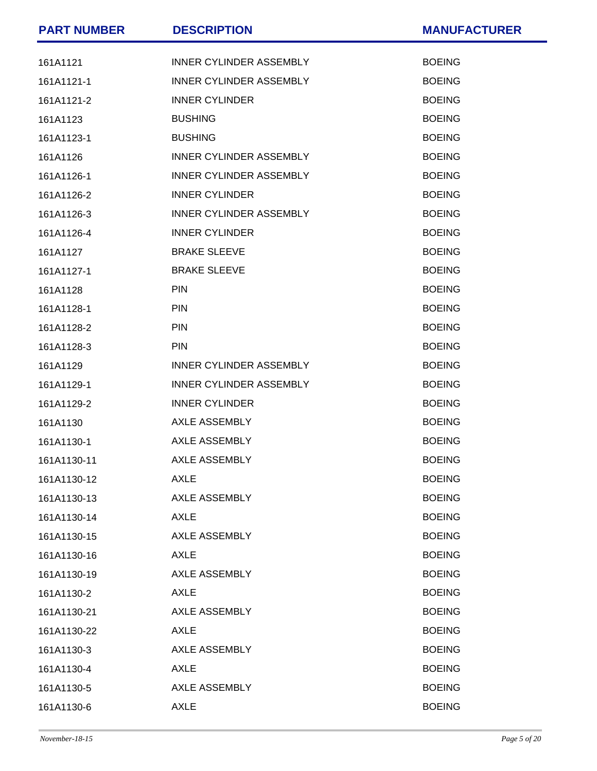| <b>PART NUMBER</b> | <b>DESCRIPTION</b>             | <b>MANUFACTURER</b> |
|--------------------|--------------------------------|---------------------|
| 161A1121           | INNER CYLINDER ASSEMBLY        | <b>BOEING</b>       |
| 161A1121-1         | <b>INNER CYLINDER ASSEMBLY</b> | <b>BOEING</b>       |
| 161A1121-2         | <b>INNER CYLINDER</b>          | <b>BOEING</b>       |
| 161A1123           | <b>BUSHING</b>                 | <b>BOEING</b>       |
| 161A1123-1         | <b>BUSHING</b>                 | <b>BOEING</b>       |
| 161A1126           | INNER CYLINDER ASSEMBLY        | <b>BOEING</b>       |
| 161A1126-1         | INNER CYLINDER ASSEMBLY        | <b>BOEING</b>       |
| 161A1126-2         | <b>INNER CYLINDER</b>          | <b>BOEING</b>       |
| 161A1126-3         | INNER CYLINDER ASSEMBLY        | <b>BOEING</b>       |
| 161A1126-4         | <b>INNER CYLINDER</b>          | <b>BOEING</b>       |
| 161A1127           | <b>BRAKE SLEEVE</b>            | <b>BOEING</b>       |
| 161A1127-1         | <b>BRAKE SLEEVE</b>            | <b>BOEING</b>       |
| 161A1128           | <b>PIN</b>                     | <b>BOEING</b>       |
| 161A1128-1         | PIN                            | <b>BOEING</b>       |
| 161A1128-2         | <b>PIN</b>                     | <b>BOEING</b>       |
| 161A1128-3         | <b>PIN</b>                     | <b>BOEING</b>       |
| 161A1129           | INNER CYLINDER ASSEMBLY        | <b>BOEING</b>       |
| 161A1129-1         | <b>INNER CYLINDER ASSEMBLY</b> | <b>BOEING</b>       |
| 161A1129-2         | <b>INNER CYLINDER</b>          | <b>BOEING</b>       |
| 161A1130           | AXLE ASSEMBLY                  | <b>BOEING</b>       |
| 161A1130-1         | <b>AXLE ASSEMBLY</b>           | <b>BOEING</b>       |
| 161A1130-11        | <b>AXLE ASSEMBLY</b>           | <b>BOEING</b>       |
| 161A1130-12        | <b>AXLE</b>                    | <b>BOEING</b>       |
| 161A1130-13        | AXLE ASSEMBLY                  | <b>BOEING</b>       |
| 161A1130-14        | <b>AXLE</b>                    | <b>BOEING</b>       |
| 161A1130-15        | <b>AXLE ASSEMBLY</b>           | <b>BOEING</b>       |
| 161A1130-16        | AXLE                           | <b>BOEING</b>       |
| 161A1130-19        | AXLE ASSEMBLY                  | <b>BOEING</b>       |
| 161A1130-2         | <b>AXLE</b>                    | <b>BOEING</b>       |
| 161A1130-21        | AXLE ASSEMBLY                  | <b>BOEING</b>       |
| 161A1130-22        | <b>AXLE</b>                    | <b>BOEING</b>       |
| 161A1130-3         | AXLE ASSEMBLY                  | <b>BOEING</b>       |
| 161A1130-4         | <b>AXLE</b>                    | <b>BOEING</b>       |
| 161A1130-5         | AXLE ASSEMBLY                  | <b>BOEING</b>       |
| 161A1130-6         | <b>AXLE</b>                    | <b>BOEING</b>       |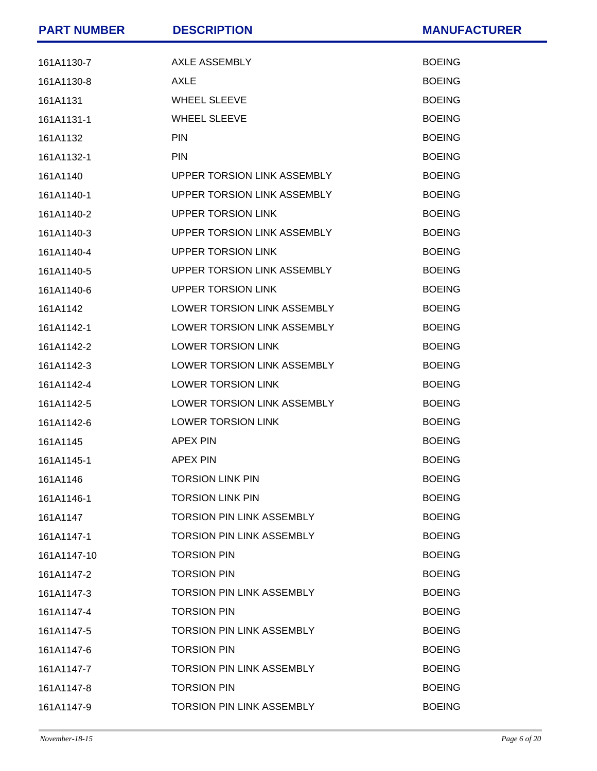| <b>PART NUMBER</b> | <b>DESCRIPTION</b>               | <b>MANUFACTURER</b> |
|--------------------|----------------------------------|---------------------|
| 161A1130-7         | AXLE ASSEMBLY                    | <b>BOEING</b>       |
| 161A1130-8         | AXLE                             | <b>BOEING</b>       |
| 161A1131           | WHEEL SLEEVE                     | <b>BOEING</b>       |
| 161A1131-1         | <b>WHEEL SLEEVE</b>              | <b>BOEING</b>       |
| 161A1132           | <b>PIN</b>                       | <b>BOEING</b>       |
| 161A1132-1         | <b>PIN</b>                       | <b>BOEING</b>       |
| 161A1140           | UPPER TORSION LINK ASSEMBLY      | <b>BOEING</b>       |
| 161A1140-1         | UPPER TORSION LINK ASSEMBLY      | <b>BOEING</b>       |
| 161A1140-2         | <b>UPPER TORSION LINK</b>        | <b>BOEING</b>       |
| 161A1140-3         | UPPER TORSION LINK ASSEMBLY      | <b>BOEING</b>       |
| 161A1140-4         | <b>UPPER TORSION LINK</b>        | <b>BOEING</b>       |
| 161A1140-5         | UPPER TORSION LINK ASSEMBLY      | <b>BOEING</b>       |
| 161A1140-6         | <b>UPPER TORSION LINK</b>        | <b>BOEING</b>       |
| 161A1142           | LOWER TORSION LINK ASSEMBLY      | <b>BOEING</b>       |
| 161A1142-1         | LOWER TORSION LINK ASSEMBLY      | <b>BOEING</b>       |
| 161A1142-2         | <b>LOWER TORSION LINK</b>        | <b>BOEING</b>       |
| 161A1142-3         | LOWER TORSION LINK ASSEMBLY      | <b>BOEING</b>       |
| 161A1142-4         | <b>LOWER TORSION LINK</b>        | <b>BOEING</b>       |
| 161A1142-5         | LOWER TORSION LINK ASSEMBLY      | <b>BOEING</b>       |
| 161A1142-6         | <b>LOWER TORSION LINK</b>        | <b>BOEING</b>       |
| 161A1145           | APEX PIN                         | <b>BOEING</b>       |
| 161A1145-1         | <b>APEX PIN</b>                  | <b>BOEING</b>       |
| 161A1146           | <b>TORSION LINK PIN</b>          | <b>BOEING</b>       |
| 161A1146-1         | <b>TORSION LINK PIN</b>          | <b>BOEING</b>       |
| 161A1147           | <b>TORSION PIN LINK ASSEMBLY</b> | <b>BOEING</b>       |
| 161A1147-1         | <b>TORSION PIN LINK ASSEMBLY</b> | <b>BOEING</b>       |
| 161A1147-10        | <b>TORSION PIN</b>               | <b>BOEING</b>       |
| 161A1147-2         | <b>TORSION PIN</b>               | <b>BOEING</b>       |
| 161A1147-3         | <b>TORSION PIN LINK ASSEMBLY</b> | <b>BOEING</b>       |
| 161A1147-4         | <b>TORSION PIN</b>               | <b>BOEING</b>       |
| 161A1147-5         | TORSION PIN LINK ASSEMBLY        | <b>BOEING</b>       |
| 161A1147-6         | <b>TORSION PIN</b>               | <b>BOEING</b>       |
| 161A1147-7         | <b>TORSION PIN LINK ASSEMBLY</b> | <b>BOEING</b>       |
| 161A1147-8         | <b>TORSION PIN</b>               | <b>BOEING</b>       |
| 161A1147-9         | <b>TORSION PIN LINK ASSEMBLY</b> | <b>BOEING</b>       |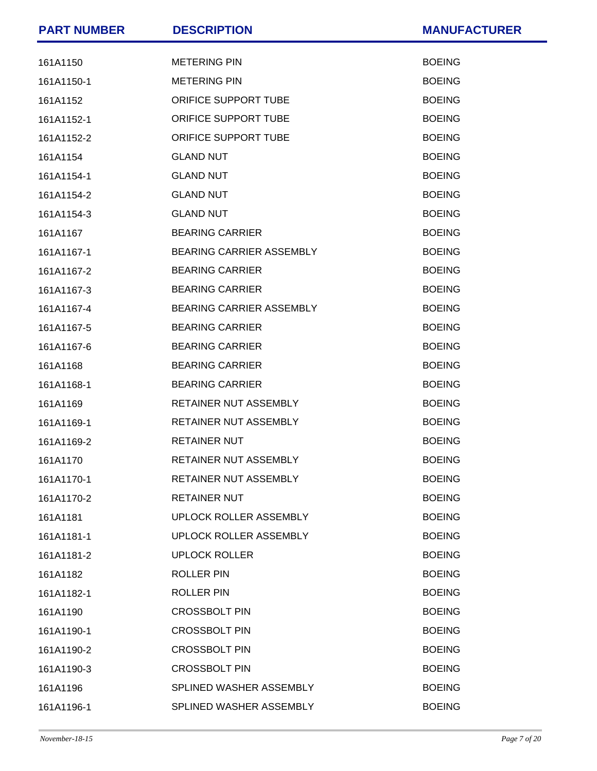| <b>PART NUMBER</b> | <b>DESCRIPTION</b>           | <b>MANUFACTURER</b> |
|--------------------|------------------------------|---------------------|
| 161A1150           | <b>METERING PIN</b>          | <b>BOEING</b>       |
| 161A1150-1         | <b>METERING PIN</b>          | <b>BOEING</b>       |
| 161A1152           | ORIFICE SUPPORT TUBE         | <b>BOEING</b>       |
| 161A1152-1         | ORIFICE SUPPORT TUBE         | <b>BOEING</b>       |
| 161A1152-2         | ORIFICE SUPPORT TUBE         | <b>BOEING</b>       |
| 161A1154           | <b>GLAND NUT</b>             | <b>BOEING</b>       |
| 161A1154-1         | <b>GLAND NUT</b>             | <b>BOEING</b>       |
| 161A1154-2         | <b>GLAND NUT</b>             | <b>BOEING</b>       |
| 161A1154-3         | <b>GLAND NUT</b>             | <b>BOEING</b>       |
| 161A1167           | <b>BEARING CARRIER</b>       | <b>BOEING</b>       |
| 161A1167-1         | BEARING CARRIER ASSEMBLY     | <b>BOEING</b>       |
| 161A1167-2         | <b>BEARING CARRIER</b>       | <b>BOEING</b>       |
| 161A1167-3         | <b>BEARING CARRIER</b>       | <b>BOEING</b>       |
| 161A1167-4         | BEARING CARRIER ASSEMBLY     | <b>BOEING</b>       |
| 161A1167-5         | <b>BEARING CARRIER</b>       | <b>BOEING</b>       |
| 161A1167-6         | <b>BEARING CARRIER</b>       | <b>BOEING</b>       |
| 161A1168           | <b>BEARING CARRIER</b>       | <b>BOEING</b>       |
| 161A1168-1         | <b>BEARING CARRIER</b>       | <b>BOEING</b>       |
| 161A1169           | RETAINER NUT ASSEMBLY        | <b>BOEING</b>       |
| 161A1169-1         | RETAINER NUT ASSEMBLY        | <b>BOEING</b>       |
| 161A1169-2         | <b>RETAINER NUT</b>          | <b>BOEING</b>       |
| 161A1170           | RETAINER NUT ASSEMBLY        | <b>BOEING</b>       |
| 161A1170-1         | <b>RETAINER NUT ASSEMBLY</b> | <b>BOEING</b>       |
| 161A1170-2         | <b>RETAINER NUT</b>          | <b>BOEING</b>       |
| 161A1181           | UPLOCK ROLLER ASSEMBLY       | <b>BOEING</b>       |
| 161A1181-1         | UPLOCK ROLLER ASSEMBLY       | <b>BOEING</b>       |
| 161A1181-2         | <b>UPLOCK ROLLER</b>         | <b>BOEING</b>       |
| 161A1182           | <b>ROLLER PIN</b>            | <b>BOEING</b>       |
| 161A1182-1         | <b>ROLLER PIN</b>            | <b>BOEING</b>       |
| 161A1190           | <b>CROSSBOLT PIN</b>         | <b>BOEING</b>       |
| 161A1190-1         | <b>CROSSBOLT PIN</b>         | <b>BOEING</b>       |
| 161A1190-2         | <b>CROSSBOLT PIN</b>         | <b>BOEING</b>       |
| 161A1190-3         | <b>CROSSBOLT PIN</b>         | <b>BOEING</b>       |
| 161A1196           | SPLINED WASHER ASSEMBLY      | <b>BOEING</b>       |
| 161A1196-1         | SPLINED WASHER ASSEMBLY      | <b>BOEING</b>       |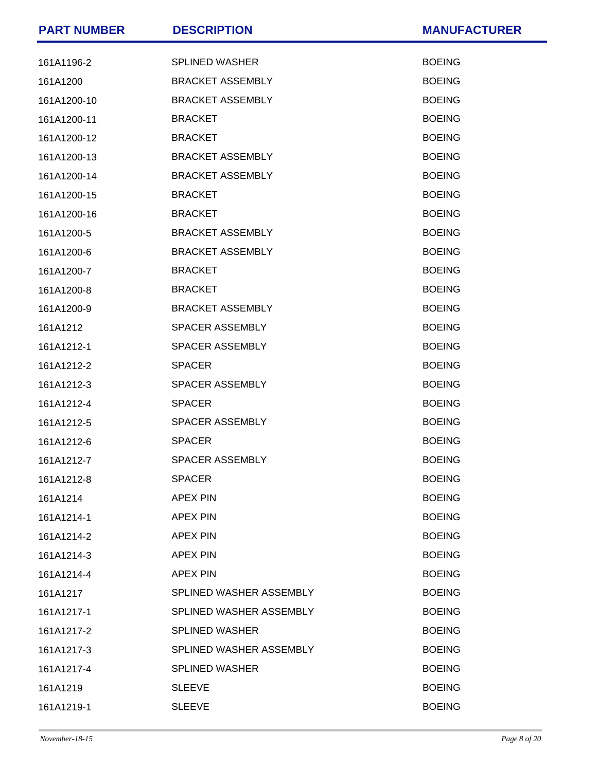| <b>PART NUMBER</b> | <b>DESCRIPTION</b>      | <b>MANUFACTURER</b> |
|--------------------|-------------------------|---------------------|
| 161A1196-2         | <b>SPLINED WASHER</b>   | <b>BOEING</b>       |
| 161A1200           | <b>BRACKET ASSEMBLY</b> | <b>BOEING</b>       |
| 161A1200-10        | <b>BRACKET ASSEMBLY</b> | <b>BOEING</b>       |
| 161A1200-11        | <b>BRACKET</b>          | <b>BOEING</b>       |
| 161A1200-12        | <b>BRACKET</b>          | <b>BOEING</b>       |
| 161A1200-13        | <b>BRACKET ASSEMBLY</b> | <b>BOEING</b>       |
| 161A1200-14        | <b>BRACKET ASSEMBLY</b> | <b>BOEING</b>       |
| 161A1200-15        | <b>BRACKET</b>          | <b>BOEING</b>       |
| 161A1200-16        | <b>BRACKET</b>          | <b>BOEING</b>       |
| 161A1200-5         | <b>BRACKET ASSEMBLY</b> | <b>BOEING</b>       |
| 161A1200-6         | <b>BRACKET ASSEMBLY</b> | <b>BOEING</b>       |
| 161A1200-7         | <b>BRACKET</b>          | <b>BOEING</b>       |
| 161A1200-8         | <b>BRACKET</b>          | <b>BOEING</b>       |
| 161A1200-9         | <b>BRACKET ASSEMBLY</b> | <b>BOEING</b>       |
| 161A1212           | SPACER ASSEMBLY         | <b>BOEING</b>       |
| 161A1212-1         | SPACER ASSEMBLY         | <b>BOEING</b>       |
| 161A1212-2         | <b>SPACER</b>           | <b>BOEING</b>       |
| 161A1212-3         | SPACER ASSEMBLY         | <b>BOEING</b>       |
| 161A1212-4         | <b>SPACER</b>           | <b>BOEING</b>       |
| 161A1212-5         | SPACER ASSEMBLY         | <b>BOEING</b>       |
| 161A1212-6         | <b>SPACER</b>           | <b>BOEING</b>       |
| 161A1212-7         | SPACER ASSEMBLY         | <b>BOEING</b>       |
| 161A1212-8         | <b>SPACER</b>           | <b>BOEING</b>       |
| 161A1214           | <b>APEX PIN</b>         | <b>BOEING</b>       |
| 161A1214-1         | <b>APEX PIN</b>         | <b>BOEING</b>       |
| 161A1214-2         | <b>APEX PIN</b>         | <b>BOEING</b>       |
| 161A1214-3         | <b>APEX PIN</b>         | <b>BOEING</b>       |
| 161A1214-4         | APEX PIN                | <b>BOEING</b>       |
| 161A1217           | SPLINED WASHER ASSEMBLY | <b>BOEING</b>       |
| 161A1217-1         | SPLINED WASHER ASSEMBLY | <b>BOEING</b>       |
| 161A1217-2         | <b>SPLINED WASHER</b>   | <b>BOEING</b>       |
| 161A1217-3         | SPLINED WASHER ASSEMBLY | <b>BOEING</b>       |
| 161A1217-4         | <b>SPLINED WASHER</b>   | <b>BOEING</b>       |
| 161A1219           | <b>SLEEVE</b>           | <b>BOEING</b>       |
| 161A1219-1         | <b>SLEEVE</b>           | <b>BOEING</b>       |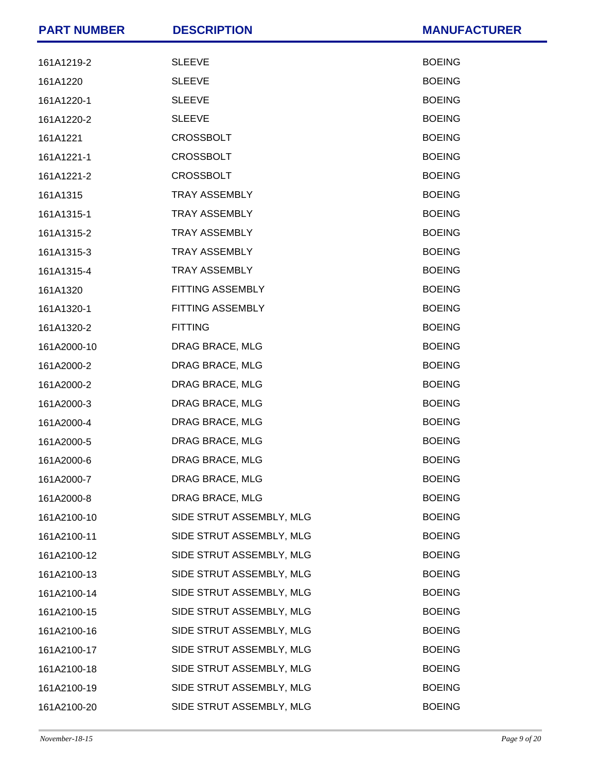| <b>PART NUMBER</b> | <b>DESCRIPTION</b>       | <b>MANUFACTURER</b> |
|--------------------|--------------------------|---------------------|
| 161A1219-2         | <b>SLEEVE</b>            | <b>BOEING</b>       |
| 161A1220           | <b>SLEEVE</b>            | <b>BOEING</b>       |
| 161A1220-1         | <b>SLEEVE</b>            | <b>BOEING</b>       |
| 161A1220-2         | <b>SLEEVE</b>            | <b>BOEING</b>       |
| 161A1221           | CROSSBOLT                | <b>BOEING</b>       |
| 161A1221-1         | <b>CROSSBOLT</b>         | <b>BOEING</b>       |
| 161A1221-2         | <b>CROSSBOLT</b>         | <b>BOEING</b>       |
| 161A1315           | <b>TRAY ASSEMBLY</b>     | <b>BOEING</b>       |
| 161A1315-1         | <b>TRAY ASSEMBLY</b>     | <b>BOEING</b>       |
| 161A1315-2         | <b>TRAY ASSEMBLY</b>     | <b>BOEING</b>       |
| 161A1315-3         | <b>TRAY ASSEMBLY</b>     | <b>BOEING</b>       |
| 161A1315-4         | <b>TRAY ASSEMBLY</b>     | <b>BOEING</b>       |
| 161A1320           | FITTING ASSEMBLY         | <b>BOEING</b>       |
| 161A1320-1         | <b>FITTING ASSEMBLY</b>  | <b>BOEING</b>       |
| 161A1320-2         | <b>FITTING</b>           | <b>BOEING</b>       |
| 161A2000-10        | DRAG BRACE, MLG          | <b>BOEING</b>       |
| 161A2000-2         | DRAG BRACE, MLG          | <b>BOEING</b>       |
| 161A2000-2         | DRAG BRACE, MLG          | <b>BOEING</b>       |
| 161A2000-3         | DRAG BRACE, MLG          | <b>BOEING</b>       |
| 161A2000-4         | DRAG BRACE, MLG          | <b>BOEING</b>       |
| 161A2000-5         | DRAG BRACE, MLG          | <b>BOEING</b>       |
| 161A2000-6         | DRAG BRACE, MLG          | <b>BOEING</b>       |
| 161A2000-7         | DRAG BRACE, MLG          | <b>BOEING</b>       |
| 161A2000-8         | DRAG BRACE, MLG          | <b>BOEING</b>       |
| 161A2100-10        | SIDE STRUT ASSEMBLY, MLG | <b>BOEING</b>       |
| 161A2100-11        | SIDE STRUT ASSEMBLY, MLG | <b>BOEING</b>       |
| 161A2100-12        | SIDE STRUT ASSEMBLY, MLG | <b>BOEING</b>       |
| 161A2100-13        | SIDE STRUT ASSEMBLY, MLG | <b>BOEING</b>       |
| 161A2100-14        | SIDE STRUT ASSEMBLY, MLG | <b>BOEING</b>       |
| 161A2100-15        | SIDE STRUT ASSEMBLY, MLG | <b>BOEING</b>       |
| 161A2100-16        | SIDE STRUT ASSEMBLY, MLG | <b>BOEING</b>       |
| 161A2100-17        | SIDE STRUT ASSEMBLY, MLG | <b>BOEING</b>       |
| 161A2100-18        | SIDE STRUT ASSEMBLY, MLG | <b>BOEING</b>       |
| 161A2100-19        | SIDE STRUT ASSEMBLY, MLG | <b>BOEING</b>       |
| 161A2100-20        | SIDE STRUT ASSEMBLY, MLG | <b>BOEING</b>       |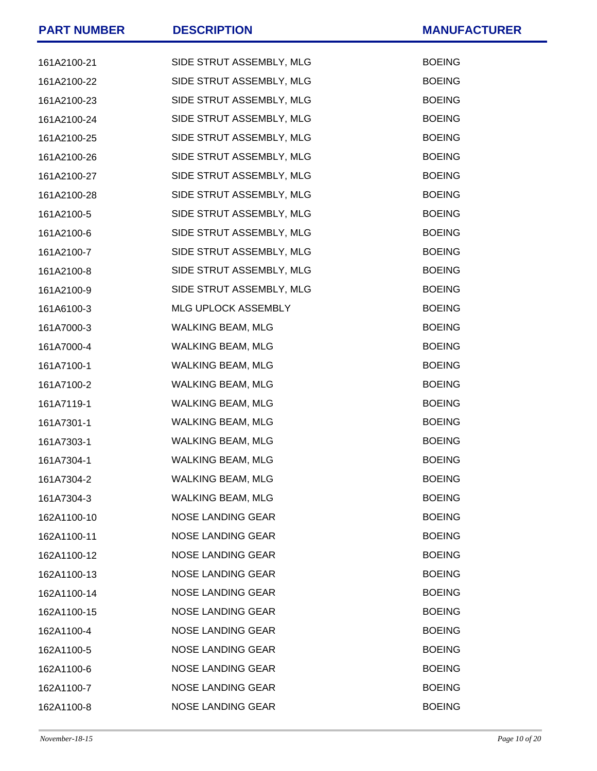| <b>PART NUMBER</b> | <b>DESCRIPTION</b>       | <b>MANUFACTURER</b> |
|--------------------|--------------------------|---------------------|
| 161A2100-21        | SIDE STRUT ASSEMBLY, MLG | <b>BOEING</b>       |
| 161A2100-22        | SIDE STRUT ASSEMBLY, MLG | <b>BOEING</b>       |
| 161A2100-23        | SIDE STRUT ASSEMBLY, MLG | <b>BOEING</b>       |
| 161A2100-24        | SIDE STRUT ASSEMBLY, MLG | <b>BOEING</b>       |
| 161A2100-25        | SIDE STRUT ASSEMBLY, MLG | <b>BOEING</b>       |
| 161A2100-26        | SIDE STRUT ASSEMBLY, MLG | <b>BOEING</b>       |
| 161A2100-27        | SIDE STRUT ASSEMBLY, MLG | <b>BOEING</b>       |
| 161A2100-28        | SIDE STRUT ASSEMBLY, MLG | <b>BOEING</b>       |
| 161A2100-5         | SIDE STRUT ASSEMBLY, MLG | <b>BOEING</b>       |
| 161A2100-6         | SIDE STRUT ASSEMBLY, MLG | <b>BOEING</b>       |
| 161A2100-7         | SIDE STRUT ASSEMBLY, MLG | <b>BOEING</b>       |
| 161A2100-8         | SIDE STRUT ASSEMBLY, MLG | <b>BOEING</b>       |
| 161A2100-9         | SIDE STRUT ASSEMBLY, MLG | <b>BOEING</b>       |
| 161A6100-3         | MLG UPLOCK ASSEMBLY      | <b>BOEING</b>       |
| 161A7000-3         | WALKING BEAM, MLG        | <b>BOEING</b>       |
| 161A7000-4         | WALKING BEAM, MLG        | <b>BOEING</b>       |
| 161A7100-1         | WALKING BEAM, MLG        | <b>BOEING</b>       |
| 161A7100-2         | WALKING BEAM, MLG        | <b>BOEING</b>       |
| 161A7119-1         | <b>WALKING BEAM, MLG</b> | <b>BOEING</b>       |
| 161A7301-1         | WALKING BEAM, MLG        | <b>BOEING</b>       |
| 161A7303-1         | <b>WALKING BEAM, MLG</b> | <b>BOEING</b>       |
| 161A7304-1         | <b>WALKING BEAM, MLG</b> | <b>BOEING</b>       |
| 161A7304-2         | <b>WALKING BEAM, MLG</b> | <b>BOEING</b>       |
| 161A7304-3         | <b>WALKING BEAM, MLG</b> | <b>BOEING</b>       |
| 162A1100-10        | <b>NOSE LANDING GEAR</b> | <b>BOEING</b>       |
| 162A1100-11        | <b>NOSE LANDING GEAR</b> | <b>BOEING</b>       |
| 162A1100-12        | <b>NOSE LANDING GEAR</b> | <b>BOEING</b>       |
| 162A1100-13        | <b>NOSE LANDING GEAR</b> | <b>BOEING</b>       |
| 162A1100-14        | <b>NOSE LANDING GEAR</b> | <b>BOEING</b>       |
| 162A1100-15        | <b>NOSE LANDING GEAR</b> | <b>BOEING</b>       |
| 162A1100-4         | <b>NOSE LANDING GEAR</b> | <b>BOEING</b>       |
| 162A1100-5         | <b>NOSE LANDING GEAR</b> | <b>BOEING</b>       |
| 162A1100-6         | <b>NOSE LANDING GEAR</b> | <b>BOEING</b>       |
| 162A1100-7         | <b>NOSE LANDING GEAR</b> | <b>BOEING</b>       |
| 162A1100-8         | <b>NOSE LANDING GEAR</b> | <b>BOEING</b>       |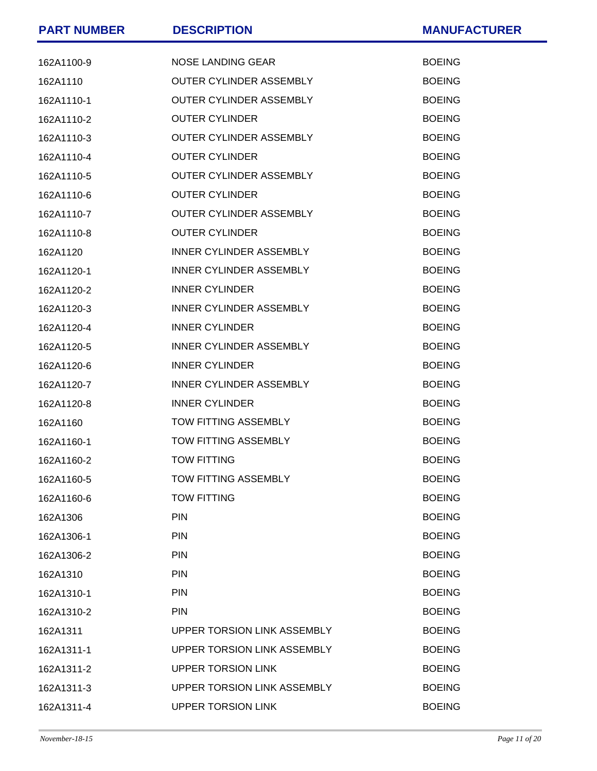| <b>PART NUMBER</b> | <b>DESCRIPTION</b>             | <b>MANUFACTURER</b> |
|--------------------|--------------------------------|---------------------|
| 162A1100-9         | <b>NOSE LANDING GEAR</b>       | <b>BOEING</b>       |
| 162A1110           | <b>OUTER CYLINDER ASSEMBLY</b> | <b>BOEING</b>       |
| 162A1110-1         | <b>OUTER CYLINDER ASSEMBLY</b> | <b>BOEING</b>       |
| 162A1110-2         | <b>OUTER CYLINDER</b>          | <b>BOEING</b>       |
| 162A1110-3         | <b>OUTER CYLINDER ASSEMBLY</b> | <b>BOEING</b>       |
| 162A1110-4         | <b>OUTER CYLINDER</b>          | <b>BOEING</b>       |
| 162A1110-5         | <b>OUTER CYLINDER ASSEMBLY</b> | <b>BOEING</b>       |
| 162A1110-6         | <b>OUTER CYLINDER</b>          | <b>BOEING</b>       |
| 162A1110-7         | <b>OUTER CYLINDER ASSEMBLY</b> | <b>BOEING</b>       |
| 162A1110-8         | <b>OUTER CYLINDER</b>          | <b>BOEING</b>       |
| 162A1120           | <b>INNER CYLINDER ASSEMBLY</b> | <b>BOEING</b>       |
| 162A1120-1         | INNER CYLINDER ASSEMBLY        | <b>BOEING</b>       |
| 162A1120-2         | <b>INNER CYLINDER</b>          | <b>BOEING</b>       |
| 162A1120-3         | INNER CYLINDER ASSEMBLY        | <b>BOEING</b>       |
| 162A1120-4         | <b>INNER CYLINDER</b>          | <b>BOEING</b>       |
| 162A1120-5         | INNER CYLINDER ASSEMBLY        | <b>BOEING</b>       |
| 162A1120-6         | <b>INNER CYLINDER</b>          | <b>BOEING</b>       |
| 162A1120-7         | INNER CYLINDER ASSEMBLY        | <b>BOEING</b>       |
| 162A1120-8         | <b>INNER CYLINDER</b>          | <b>BOEING</b>       |
| 162A1160           | TOW FITTING ASSEMBLY           | <b>BOEING</b>       |
| 162A1160-1         | TOW FITTING ASSEMBLY           | <b>BOEING</b>       |
| 162A1160-2         | <b>TOW FITTING</b>             | <b>BOEING</b>       |
| 162A1160-5         | TOW FITTING ASSEMBLY           | <b>BOEING</b>       |
| 162A1160-6         | <b>TOW FITTING</b>             | <b>BOEING</b>       |
| 162A1306           | <b>PIN</b>                     | <b>BOEING</b>       |
| 162A1306-1         | <b>PIN</b>                     | <b>BOEING</b>       |
| 162A1306-2         | <b>PIN</b>                     | <b>BOEING</b>       |
| 162A1310           | <b>PIN</b>                     | <b>BOEING</b>       |
| 162A1310-1         | <b>PIN</b>                     | <b>BOEING</b>       |
| 162A1310-2         | <b>PIN</b>                     | <b>BOEING</b>       |
| 162A1311           | UPPER TORSION LINK ASSEMBLY    | <b>BOEING</b>       |
| 162A1311-1         | UPPER TORSION LINK ASSEMBLY    | <b>BOEING</b>       |
| 162A1311-2         | UPPER TORSION LINK             | <b>BOEING</b>       |
| 162A1311-3         | UPPER TORSION LINK ASSEMBLY    | <b>BOEING</b>       |
| 162A1311-4         | <b>UPPER TORSION LINK</b>      | <b>BOEING</b>       |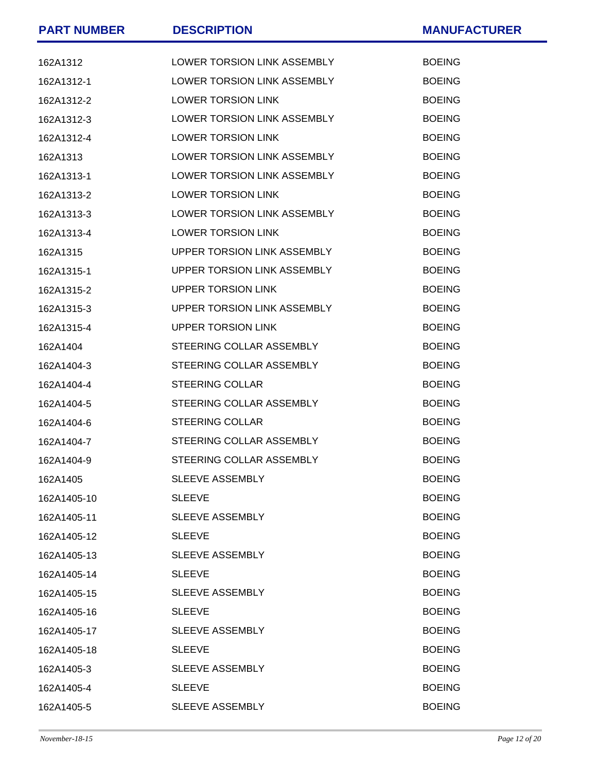| <b>PART NUMBER</b> | <b>DESCRIPTION</b>          | <b>MANUFACTURER</b> |
|--------------------|-----------------------------|---------------------|
| 162A1312           | LOWER TORSION LINK ASSEMBLY | <b>BOEING</b>       |
| 162A1312-1         | LOWER TORSION LINK ASSEMBLY | <b>BOEING</b>       |
| 162A1312-2         | LOWER TORSION LINK          | <b>BOEING</b>       |
| 162A1312-3         | LOWER TORSION LINK ASSEMBLY | <b>BOEING</b>       |
| 162A1312-4         | <b>LOWER TORSION LINK</b>   | <b>BOEING</b>       |
| 162A1313           | LOWER TORSION LINK ASSEMBLY | <b>BOEING</b>       |
| 162A1313-1         | LOWER TORSION LINK ASSEMBLY | <b>BOEING</b>       |
| 162A1313-2         | <b>LOWER TORSION LINK</b>   | <b>BOEING</b>       |
| 162A1313-3         | LOWER TORSION LINK ASSEMBLY | <b>BOEING</b>       |
| 162A1313-4         | <b>LOWER TORSION LINK</b>   | <b>BOEING</b>       |
| 162A1315           | UPPER TORSION LINK ASSEMBLY | <b>BOEING</b>       |
| 162A1315-1         | UPPER TORSION LINK ASSEMBLY | <b>BOEING</b>       |
| 162A1315-2         | <b>UPPER TORSION LINK</b>   | <b>BOEING</b>       |
| 162A1315-3         | UPPER TORSION LINK ASSEMBLY | <b>BOEING</b>       |
| 162A1315-4         | UPPER TORSION LINK          | <b>BOEING</b>       |
| 162A1404           | STEERING COLLAR ASSEMBLY    | <b>BOEING</b>       |
| 162A1404-3         | STEERING COLLAR ASSEMBLY    | <b>BOEING</b>       |
| 162A1404-4         | <b>STEERING COLLAR</b>      | <b>BOEING</b>       |
| 162A1404-5         | STEERING COLLAR ASSEMBLY    | <b>BOEING</b>       |
| 162A1404-6         | <b>STEERING COLLAR</b>      | <b>BOEING</b>       |
| 162A1404-7         | STEERING COLLAR ASSEMBLY    | <b>BOEING</b>       |
| 162A1404-9         | STEERING COLLAR ASSEMBLY    | <b>BOEING</b>       |
| 162A1405           | <b>SLEEVE ASSEMBLY</b>      | <b>BOEING</b>       |
| 162A1405-10        | <b>SLEEVE</b>               | <b>BOEING</b>       |
| 162A1405-11        | <b>SLEEVE ASSEMBLY</b>      | <b>BOEING</b>       |
| 162A1405-12        | <b>SLEEVE</b>               | <b>BOEING</b>       |
| 162A1405-13        | <b>SLEEVE ASSEMBLY</b>      | <b>BOEING</b>       |
| 162A1405-14        | <b>SLEEVE</b>               | <b>BOEING</b>       |
| 162A1405-15        | <b>SLEEVE ASSEMBLY</b>      | <b>BOEING</b>       |
| 162A1405-16        | <b>SLEEVE</b>               | <b>BOEING</b>       |
| 162A1405-17        | <b>SLEEVE ASSEMBLY</b>      | <b>BOEING</b>       |
| 162A1405-18        | <b>SLEEVE</b>               | <b>BOEING</b>       |
| 162A1405-3         | <b>SLEEVE ASSEMBLY</b>      | <b>BOEING</b>       |
| 162A1405-4         | <b>SLEEVE</b>               | <b>BOEING</b>       |
| 162A1405-5         | <b>SLEEVE ASSEMBLY</b>      | <b>BOEING</b>       |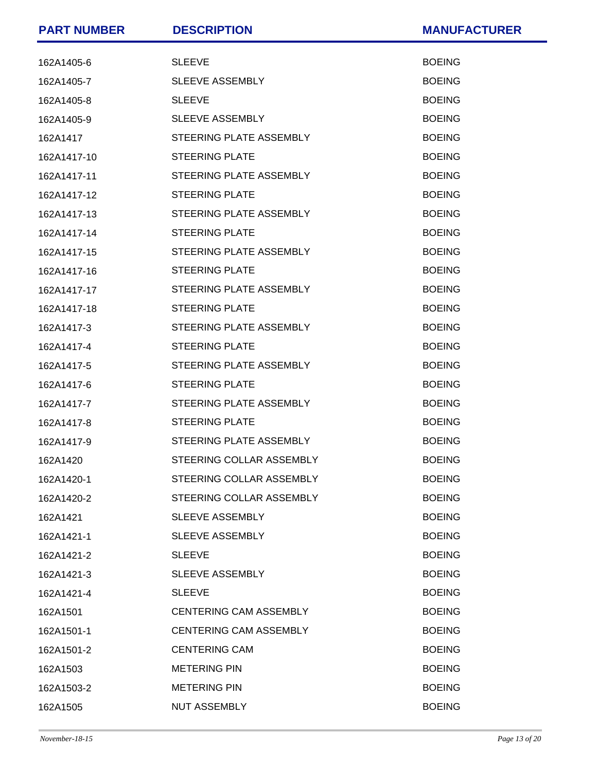| <b>PART NUMBER</b> | <b>DESCRIPTION</b>            | <b>MANUFACTURER</b> |
|--------------------|-------------------------------|---------------------|
| 162A1405-6         | <b>SLEEVE</b>                 | <b>BOEING</b>       |
| 162A1405-7         | SLEEVE ASSEMBLY               | <b>BOEING</b>       |
| 162A1405-8         | <b>SLEEVE</b>                 | <b>BOEING</b>       |
| 162A1405-9         | SLEEVE ASSEMBLY               | <b>BOEING</b>       |
| 162A1417           | STEERING PLATE ASSEMBLY       | <b>BOEING</b>       |
| 162A1417-10        | <b>STEERING PLATE</b>         | <b>BOEING</b>       |
| 162A1417-11        | STEERING PLATE ASSEMBLY       | <b>BOEING</b>       |
| 162A1417-12        | <b>STEERING PLATE</b>         | <b>BOEING</b>       |
| 162A1417-13        | STEERING PLATE ASSEMBLY       | <b>BOEING</b>       |
| 162A1417-14        | <b>STEERING PLATE</b>         | <b>BOEING</b>       |
| 162A1417-15        | STEERING PLATE ASSEMBLY       | <b>BOEING</b>       |
| 162A1417-16        | <b>STEERING PLATE</b>         | <b>BOEING</b>       |
| 162A1417-17        | STEERING PLATE ASSEMBLY       | <b>BOEING</b>       |
| 162A1417-18        | <b>STEERING PLATE</b>         | <b>BOEING</b>       |
| 162A1417-3         | STEERING PLATE ASSEMBLY       | <b>BOEING</b>       |
| 162A1417-4         | <b>STEERING PLATE</b>         | <b>BOEING</b>       |
| 162A1417-5         | STEERING PLATE ASSEMBLY       | <b>BOEING</b>       |
| 162A1417-6         | <b>STEERING PLATE</b>         | <b>BOEING</b>       |
| 162A1417-7         | STEERING PLATE ASSEMBLY       | <b>BOEING</b>       |
| 162A1417-8         | <b>STEERING PLATE</b>         | <b>BOEING</b>       |
| 162A1417-9         | STEERING PLATE ASSEMBLY       | <b>BOEING</b>       |
| 162A1420           | STEERING COLLAR ASSEMBLY      | <b>BOEING</b>       |
| 162A1420-1         | STEERING COLLAR ASSEMBLY      | <b>BOEING</b>       |
| 162A1420-2         | STEERING COLLAR ASSEMBLY      | <b>BOEING</b>       |
| 162A1421           | <b>SLEEVE ASSEMBLY</b>        | <b>BOEING</b>       |
| 162A1421-1         | <b>SLEEVE ASSEMBLY</b>        | <b>BOEING</b>       |
| 162A1421-2         | <b>SLEEVE</b>                 | <b>BOEING</b>       |
| 162A1421-3         | SLEEVE ASSEMBLY               | <b>BOEING</b>       |
| 162A1421-4         | <b>SLEEVE</b>                 | <b>BOEING</b>       |
| 162A1501           | <b>CENTERING CAM ASSEMBLY</b> | <b>BOEING</b>       |
| 162A1501-1         | <b>CENTERING CAM ASSEMBLY</b> | <b>BOEING</b>       |
| 162A1501-2         | <b>CENTERING CAM</b>          | <b>BOEING</b>       |
| 162A1503           | <b>METERING PIN</b>           | <b>BOEING</b>       |
| 162A1503-2         | <b>METERING PIN</b>           | <b>BOEING</b>       |
| 162A1505           | <b>NUT ASSEMBLY</b>           | <b>BOEING</b>       |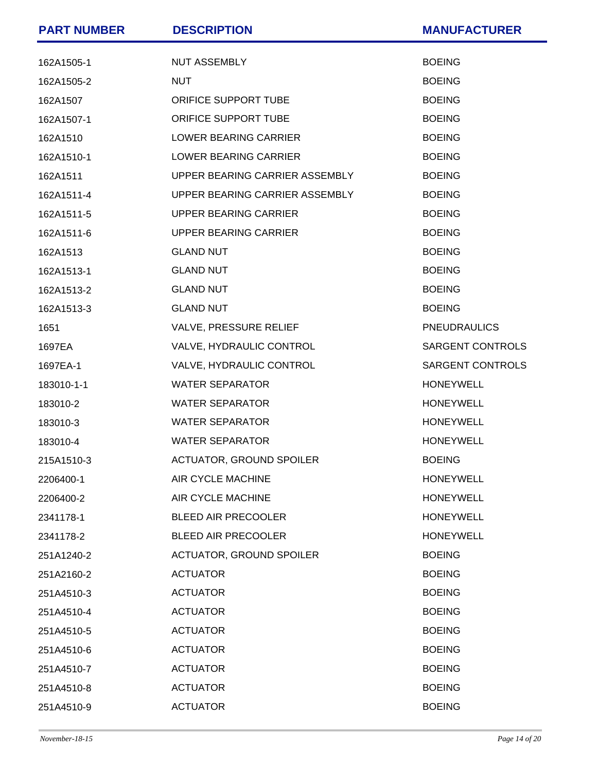| <b>PART NUMBER</b> | <b>DESCRIPTION</b>              | <b>MANUFACTURER</b>     |
|--------------------|---------------------------------|-------------------------|
| 162A1505-1         | NUT ASSEMBLY                    | <b>BOEING</b>           |
| 162A1505-2         | <b>NUT</b>                      | <b>BOEING</b>           |
| 162A1507           | ORIFICE SUPPORT TUBE            | <b>BOEING</b>           |
| 162A1507-1         | ORIFICE SUPPORT TUBE            | <b>BOEING</b>           |
| 162A1510           | LOWER BEARING CARRIER           | <b>BOEING</b>           |
| 162A1510-1         | <b>LOWER BEARING CARRIER</b>    | <b>BOEING</b>           |
| 162A1511           | UPPER BEARING CARRIER ASSEMBLY  | <b>BOEING</b>           |
| 162A1511-4         | UPPER BEARING CARRIER ASSEMBLY  | <b>BOEING</b>           |
| 162A1511-5         | UPPER BEARING CARRIER           | <b>BOEING</b>           |
| 162A1511-6         | UPPER BEARING CARRIER           | <b>BOEING</b>           |
| 162A1513           | <b>GLAND NUT</b>                | <b>BOEING</b>           |
| 162A1513-1         | <b>GLAND NUT</b>                | <b>BOEING</b>           |
| 162A1513-2         | <b>GLAND NUT</b>                | <b>BOEING</b>           |
| 162A1513-3         | <b>GLAND NUT</b>                | <b>BOEING</b>           |
| 1651               | VALVE, PRESSURE RELIEF          | <b>PNEUDRAULICS</b>     |
| 1697EA             | VALVE, HYDRAULIC CONTROL        | <b>SARGENT CONTROLS</b> |
| 1697EA-1           | VALVE, HYDRAULIC CONTROL        | SARGENT CONTROLS        |
| 183010-1-1         | <b>WATER SEPARATOR</b>          | <b>HONEYWELL</b>        |
| 183010-2           | <b>WATER SEPARATOR</b>          | <b>HONEYWELL</b>        |
| 183010-3           | <b>WATER SEPARATOR</b>          | <b>HONEYWELL</b>        |
| 183010-4           | <b>WATER SEPARATOR</b>          | <b>HONEYWELL</b>        |
| 215A1510-3         | ACTUATOR, GROUND SPOILER        | <b>BOEING</b>           |
| 2206400-1          | AIR CYCLE MACHINE               | <b>HONEYWELL</b>        |
| 2206400-2          | AIR CYCLE MACHINE               | <b>HONEYWELL</b>        |
| 2341178-1          | <b>BLEED AIR PRECOOLER</b>      | <b>HONEYWELL</b>        |
| 2341178-2          | BLEED AIR PRECOOLER             | <b>HONEYWELL</b>        |
| 251A1240-2         | <b>ACTUATOR, GROUND SPOILER</b> | <b>BOEING</b>           |
| 251A2160-2         | <b>ACTUATOR</b>                 | <b>BOEING</b>           |
| 251A4510-3         | <b>ACTUATOR</b>                 | <b>BOEING</b>           |
| 251A4510-4         | <b>ACTUATOR</b>                 | <b>BOEING</b>           |
| 251A4510-5         | <b>ACTUATOR</b>                 | <b>BOEING</b>           |
| 251A4510-6         | <b>ACTUATOR</b>                 | <b>BOEING</b>           |
| 251A4510-7         | <b>ACTUATOR</b>                 | <b>BOEING</b>           |
| 251A4510-8         | <b>ACTUATOR</b>                 | <b>BOEING</b>           |
| 251A4510-9         | <b>ACTUATOR</b>                 | <b>BOEING</b>           |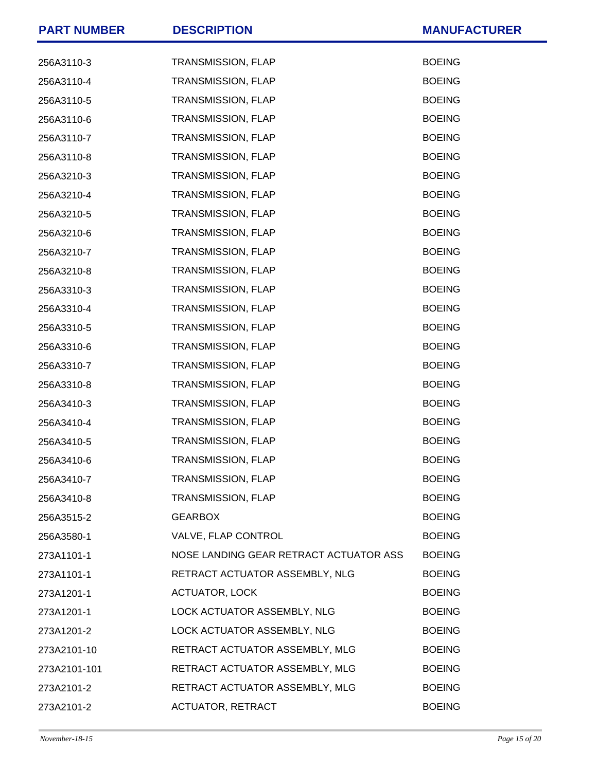| <b>PART NUMBER</b> | <b>DESCRIPTION</b>                     | <b>MANUFACTURER</b> |
|--------------------|----------------------------------------|---------------------|
| 256A3110-3         | TRANSMISSION, FLAP                     | <b>BOEING</b>       |
| 256A3110-4         | TRANSMISSION, FLAP                     | <b>BOEING</b>       |
| 256A3110-5         | TRANSMISSION, FLAP                     | <b>BOEING</b>       |
| 256A3110-6         | TRANSMISSION, FLAP                     | <b>BOEING</b>       |
| 256A3110-7         | TRANSMISSION, FLAP                     | <b>BOEING</b>       |
| 256A3110-8         | TRANSMISSION, FLAP                     | <b>BOEING</b>       |
| 256A3210-3         | TRANSMISSION, FLAP                     | <b>BOEING</b>       |
| 256A3210-4         | TRANSMISSION, FLAP                     | <b>BOEING</b>       |
| 256A3210-5         | TRANSMISSION, FLAP                     | <b>BOEING</b>       |
| 256A3210-6         | TRANSMISSION, FLAP                     | <b>BOEING</b>       |
| 256A3210-7         | TRANSMISSION, FLAP                     | <b>BOEING</b>       |
| 256A3210-8         | TRANSMISSION, FLAP                     | <b>BOEING</b>       |
| 256A3310-3         | TRANSMISSION, FLAP                     | <b>BOEING</b>       |
| 256A3310-4         | TRANSMISSION, FLAP                     | <b>BOEING</b>       |
| 256A3310-5         | TRANSMISSION, FLAP                     | <b>BOEING</b>       |
| 256A3310-6         | TRANSMISSION, FLAP                     | <b>BOEING</b>       |
| 256A3310-7         | TRANSMISSION, FLAP                     | <b>BOEING</b>       |
| 256A3310-8         | TRANSMISSION, FLAP                     | <b>BOEING</b>       |
| 256A3410-3         | TRANSMISSION, FLAP                     | <b>BOEING</b>       |
| 256A3410-4         | TRANSMISSION, FLAP                     | <b>BOEING</b>       |
| 256A3410-5         | TRANSMISSION, FLAP                     | <b>BOEING</b>       |
| 256A3410-6         | TRANSMISSION, FLAP                     | <b>BOEING</b>       |
| 256A3410-7         | <b>TRANSMISSION, FLAP</b>              | <b>BOEING</b>       |
| 256A3410-8         | TRANSMISSION, FLAP                     | <b>BOEING</b>       |
| 256A3515-2         | <b>GEARBOX</b>                         | <b>BOEING</b>       |
| 256A3580-1         | VALVE, FLAP CONTROL                    | <b>BOEING</b>       |
| 273A1101-1         | NOSE LANDING GEAR RETRACT ACTUATOR ASS | <b>BOEING</b>       |
| 273A1101-1         | RETRACT ACTUATOR ASSEMBLY, NLG         | <b>BOEING</b>       |
| 273A1201-1         | <b>ACTUATOR, LOCK</b>                  | <b>BOEING</b>       |
| 273A1201-1         | LOCK ACTUATOR ASSEMBLY, NLG            | <b>BOEING</b>       |
| 273A1201-2         | LOCK ACTUATOR ASSEMBLY, NLG            | <b>BOEING</b>       |
| 273A2101-10        | RETRACT ACTUATOR ASSEMBLY, MLG         | <b>BOEING</b>       |
| 273A2101-101       | RETRACT ACTUATOR ASSEMBLY, MLG         | <b>BOEING</b>       |
| 273A2101-2         | RETRACT ACTUATOR ASSEMBLY, MLG         | <b>BOEING</b>       |
| 273A2101-2         | <b>ACTUATOR, RETRACT</b>               | <b>BOEING</b>       |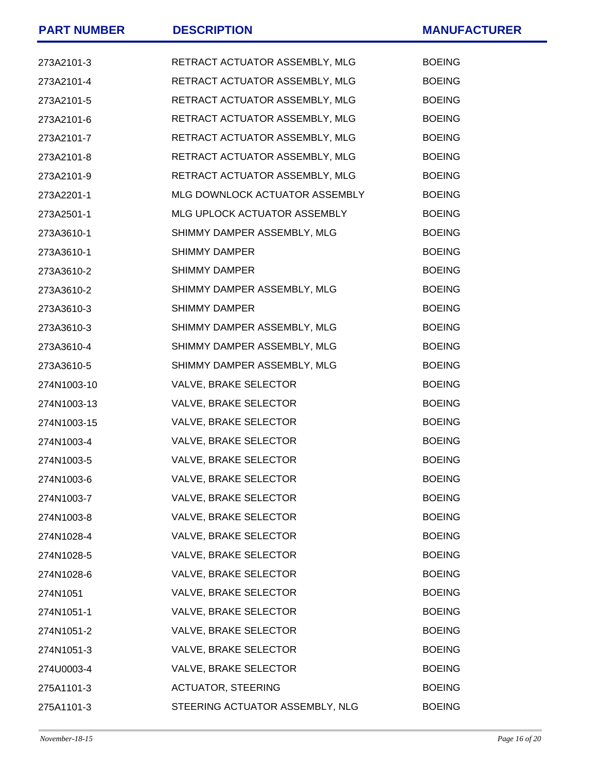| <b>PART NUMBER</b> | <b>DESCRIPTION</b>              | <b>MANUFACTURER</b> |
|--------------------|---------------------------------|---------------------|
| 273A2101-3         | RETRACT ACTUATOR ASSEMBLY, MLG  | <b>BOEING</b>       |
| 273A2101-4         | RETRACT ACTUATOR ASSEMBLY, MLG  | <b>BOEING</b>       |
| 273A2101-5         | RETRACT ACTUATOR ASSEMBLY, MLG  | <b>BOEING</b>       |
| 273A2101-6         | RETRACT ACTUATOR ASSEMBLY, MLG  | <b>BOEING</b>       |
| 273A2101-7         | RETRACT ACTUATOR ASSEMBLY, MLG  | <b>BOEING</b>       |
| 273A2101-8         | RETRACT ACTUATOR ASSEMBLY, MLG  | <b>BOEING</b>       |
| 273A2101-9         | RETRACT ACTUATOR ASSEMBLY, MLG  | <b>BOEING</b>       |
| 273A2201-1         | MLG DOWNLOCK ACTUATOR ASSEMBLY  | <b>BOEING</b>       |
| 273A2501-1         | MLG UPLOCK ACTUATOR ASSEMBLY    | <b>BOEING</b>       |
| 273A3610-1         | SHIMMY DAMPER ASSEMBLY, MLG     | <b>BOEING</b>       |
| 273A3610-1         | <b>SHIMMY DAMPER</b>            | <b>BOEING</b>       |
| 273A3610-2         | <b>SHIMMY DAMPER</b>            | <b>BOEING</b>       |
| 273A3610-2         | SHIMMY DAMPER ASSEMBLY, MLG     | <b>BOEING</b>       |
| 273A3610-3         | <b>SHIMMY DAMPER</b>            | <b>BOEING</b>       |
| 273A3610-3         | SHIMMY DAMPER ASSEMBLY, MLG     | <b>BOEING</b>       |
| 273A3610-4         | SHIMMY DAMPER ASSEMBLY, MLG     | <b>BOEING</b>       |
| 273A3610-5         | SHIMMY DAMPER ASSEMBLY, MLG     | <b>BOEING</b>       |
| 274N1003-10        | VALVE, BRAKE SELECTOR           | <b>BOEING</b>       |
| 274N1003-13        | VALVE, BRAKE SELECTOR           | <b>BOEING</b>       |
| 274N1003-15        | VALVE, BRAKE SELECTOR           | <b>BOEING</b>       |
| 274N1003-4         | <b>VALVE, BRAKE SELECTOR</b>    | <b>BOEING</b>       |
| 274N1003-5         | VALVE, BRAKE SELECTOR           | <b>BOEING</b>       |
| 274N1003-6         | VALVE, BRAKE SELECTOR           | <b>BOEING</b>       |
| 274N1003-7         | VALVE, BRAKE SELECTOR           | <b>BOEING</b>       |
| 274N1003-8         | VALVE, BRAKE SELECTOR           | <b>BOEING</b>       |
| 274N1028-4         | VALVE, BRAKE SELECTOR           | <b>BOEING</b>       |
| 274N1028-5         | VALVE, BRAKE SELECTOR           | <b>BOEING</b>       |
| 274N1028-6         | VALVE, BRAKE SELECTOR           | <b>BOEING</b>       |
| 274N1051           | VALVE, BRAKE SELECTOR           | <b>BOEING</b>       |
| 274N1051-1         | VALVE, BRAKE SELECTOR           | <b>BOEING</b>       |
| 274N1051-2         | VALVE, BRAKE SELECTOR           | <b>BOEING</b>       |
| 274N1051-3         | VALVE, BRAKE SELECTOR           | <b>BOEING</b>       |
| 274U0003-4         | VALVE, BRAKE SELECTOR           | <b>BOEING</b>       |
| 275A1101-3         | <b>ACTUATOR, STEERING</b>       | <b>BOEING</b>       |
| 275A1101-3         | STEERING ACTUATOR ASSEMBLY, NLG | <b>BOEING</b>       |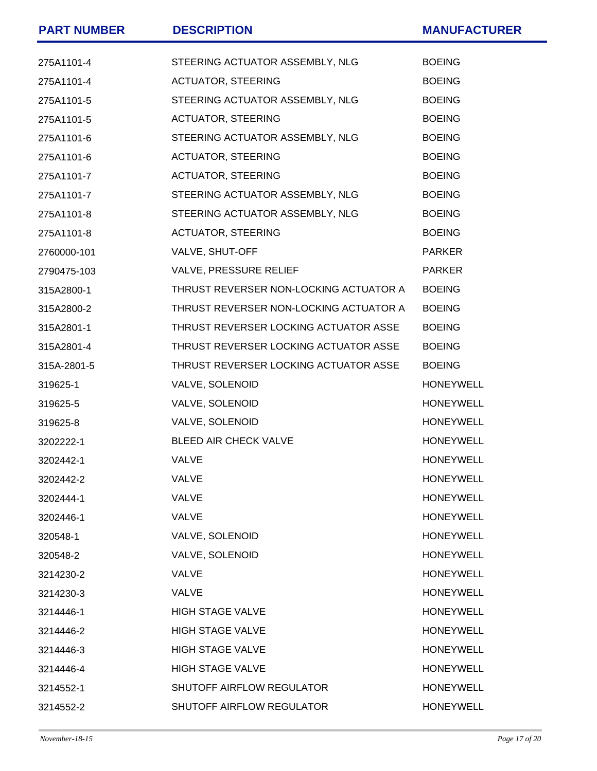| <b>PART NUMBER</b> | <b>DESCRIPTION</b>                     | <b>MANUFACTURER</b> |
|--------------------|----------------------------------------|---------------------|
| 275A1101-4         | STEERING ACTUATOR ASSEMBLY, NLG        | <b>BOEING</b>       |
| 275A1101-4         | <b>ACTUATOR, STEERING</b>              | <b>BOEING</b>       |
| 275A1101-5         | STEERING ACTUATOR ASSEMBLY, NLG        | <b>BOEING</b>       |
| 275A1101-5         | <b>ACTUATOR, STEERING</b>              | <b>BOEING</b>       |
| 275A1101-6         | STEERING ACTUATOR ASSEMBLY, NLG        | <b>BOEING</b>       |
| 275A1101-6         | <b>ACTUATOR, STEERING</b>              | <b>BOEING</b>       |
| 275A1101-7         | <b>ACTUATOR, STEERING</b>              | <b>BOEING</b>       |
| 275A1101-7         | STEERING ACTUATOR ASSEMBLY, NLG        | <b>BOEING</b>       |
| 275A1101-8         | STEERING ACTUATOR ASSEMBLY, NLG        | <b>BOEING</b>       |
| 275A1101-8         | <b>ACTUATOR, STEERING</b>              | <b>BOEING</b>       |
| 2760000-101        | VALVE, SHUT-OFF                        | <b>PARKER</b>       |
| 2790475-103        | VALVE, PRESSURE RELIEF                 | <b>PARKER</b>       |
| 315A2800-1         | THRUST REVERSER NON-LOCKING ACTUATOR A | <b>BOEING</b>       |
| 315A2800-2         | THRUST REVERSER NON-LOCKING ACTUATOR A | <b>BOEING</b>       |
| 315A2801-1         | THRUST REVERSER LOCKING ACTUATOR ASSE  | <b>BOEING</b>       |
| 315A2801-4         | THRUST REVERSER LOCKING ACTUATOR ASSE  | <b>BOEING</b>       |
| 315A-2801-5        | THRUST REVERSER LOCKING ACTUATOR ASSE  | <b>BOEING</b>       |
| 319625-1           | VALVE, SOLENOID                        | <b>HONEYWELL</b>    |
| 319625-5           | VALVE, SOLENOID                        | <b>HONEYWELL</b>    |
| 319625-8           | VALVE, SOLENOID                        | <b>HONEYWELL</b>    |
| 3202222-1          | BLEED AIR CHECK VALVE                  | <b>HONEYWELL</b>    |
| 3202442-1          | VALVE                                  | <b>HONEYWELL</b>    |
| 3202442-2          | <b>VALVE</b>                           | <b>HONEYWELL</b>    |
| 3202444-1          | <b>VALVE</b>                           | <b>HONEYWELL</b>    |
| 3202446-1          | <b>VALVE</b>                           | <b>HONEYWELL</b>    |
| 320548-1           | VALVE, SOLENOID                        | <b>HONEYWELL</b>    |
| 320548-2           | VALVE, SOLENOID                        | <b>HONEYWELL</b>    |
| 3214230-2          | <b>VALVE</b>                           | <b>HONEYWELL</b>    |
| 3214230-3          | <b>VALVE</b>                           | <b>HONEYWELL</b>    |
| 3214446-1          | <b>HIGH STAGE VALVE</b>                | <b>HONEYWELL</b>    |
| 3214446-2          | <b>HIGH STAGE VALVE</b>                | <b>HONEYWELL</b>    |
| 3214446-3          | <b>HIGH STAGE VALVE</b>                | <b>HONEYWELL</b>    |
| 3214446-4          | <b>HIGH STAGE VALVE</b>                | <b>HONEYWELL</b>    |
| 3214552-1          | SHUTOFF AIRFLOW REGULATOR              | <b>HONEYWELL</b>    |
| 3214552-2          | SHUTOFF AIRFLOW REGULATOR              | <b>HONEYWELL</b>    |
|                    |                                        |                     |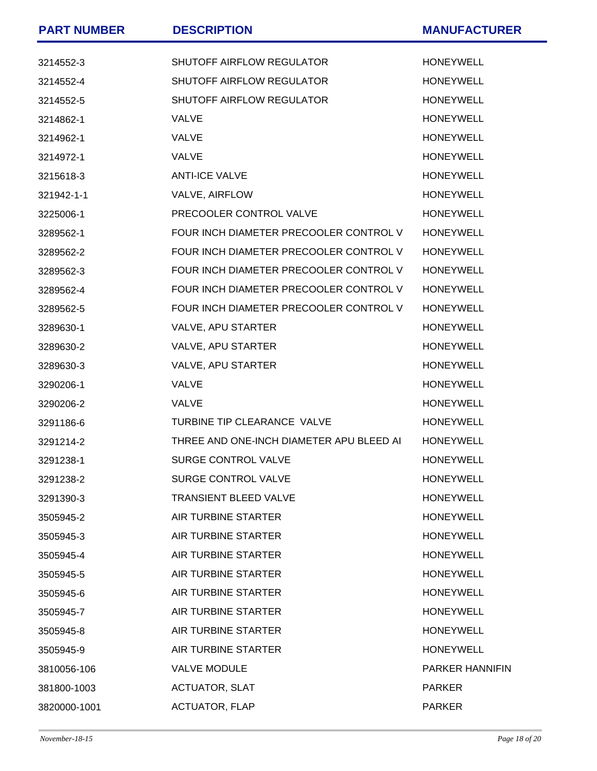| <b>PART NUMBER</b> | <b>DESCRIPTION</b>                       | <b>MANUFACTURER</b>    |
|--------------------|------------------------------------------|------------------------|
| 3214552-3          | SHUTOFF AIRFLOW REGULATOR                | <b>HONEYWELL</b>       |
| 3214552-4          | SHUTOFF AIRFLOW REGULATOR                | <b>HONEYWELL</b>       |
| 3214552-5          | SHUTOFF AIRFLOW REGULATOR                | <b>HONEYWELL</b>       |
| 3214862-1          | <b>VALVE</b>                             | <b>HONEYWELL</b>       |
| 3214962-1          | <b>VALVE</b>                             | <b>HONEYWELL</b>       |
| 3214972-1          | <b>VALVE</b>                             | <b>HONEYWELL</b>       |
| 3215618-3          | <b>ANTI-ICE VALVE</b>                    | <b>HONEYWELL</b>       |
| 321942-1-1         | VALVE, AIRFLOW                           | <b>HONEYWELL</b>       |
| 3225006-1          | PRECOOLER CONTROL VALVE                  | <b>HONEYWELL</b>       |
| 3289562-1          | FOUR INCH DIAMETER PRECOOLER CONTROL V   | <b>HONEYWELL</b>       |
| 3289562-2          | FOUR INCH DIAMETER PRECOOLER CONTROL V   | <b>HONEYWELL</b>       |
| 3289562-3          | FOUR INCH DIAMETER PRECOOLER CONTROL V   | <b>HONEYWELL</b>       |
| 3289562-4          | FOUR INCH DIAMETER PRECOOLER CONTROL V   | <b>HONEYWELL</b>       |
| 3289562-5          | FOUR INCH DIAMETER PRECOOLER CONTROL V   | <b>HONEYWELL</b>       |
| 3289630-1          | VALVE, APU STARTER                       | <b>HONEYWELL</b>       |
| 3289630-2          | VALVE, APU STARTER                       | <b>HONEYWELL</b>       |
| 3289630-3          | VALVE, APU STARTER                       | <b>HONEYWELL</b>       |
| 3290206-1          | <b>VALVE</b>                             | <b>HONEYWELL</b>       |
| 3290206-2          | <b>VALVE</b>                             | <b>HONEYWELL</b>       |
| 3291186-6          | TURBINE TIP CLEARANCE VALVE              | <b>HONEYWELL</b>       |
| 3291214-2          | THREE AND ONE-INCH DIAMETER APU BLEED AI | <b>HONEYWELL</b>       |
| 3291238-1          | SURGE CONTROL VALVE                      | <b>HONEYWELL</b>       |
| 3291238-2          | SURGE CONTROL VALVE                      | <b>HONEYWELL</b>       |
| 3291390-3          | <b>TRANSIENT BLEED VALVE</b>             | <b>HONEYWELL</b>       |
| 3505945-2          | AIR TURBINE STARTER                      | <b>HONEYWELL</b>       |
| 3505945-3          | AIR TURBINE STARTER                      | <b>HONEYWELL</b>       |
| 3505945-4          | AIR TURBINE STARTER                      | <b>HONEYWELL</b>       |
| 3505945-5          | AIR TURBINE STARTER                      | <b>HONEYWELL</b>       |
| 3505945-6          | AIR TURBINE STARTER                      | <b>HONEYWELL</b>       |
| 3505945-7          | AIR TURBINE STARTER                      | <b>HONEYWELL</b>       |
| 3505945-8          | AIR TURBINE STARTER                      | <b>HONEYWELL</b>       |
| 3505945-9          | AIR TURBINE STARTER                      | <b>HONEYWELL</b>       |
| 3810056-106        | <b>VALVE MODULE</b>                      | <b>PARKER HANNIFIN</b> |
| 381800-1003        | <b>ACTUATOR, SLAT</b>                    | <b>PARKER</b>          |
| 3820000-1001       | <b>ACTUATOR, FLAP</b>                    | <b>PARKER</b>          |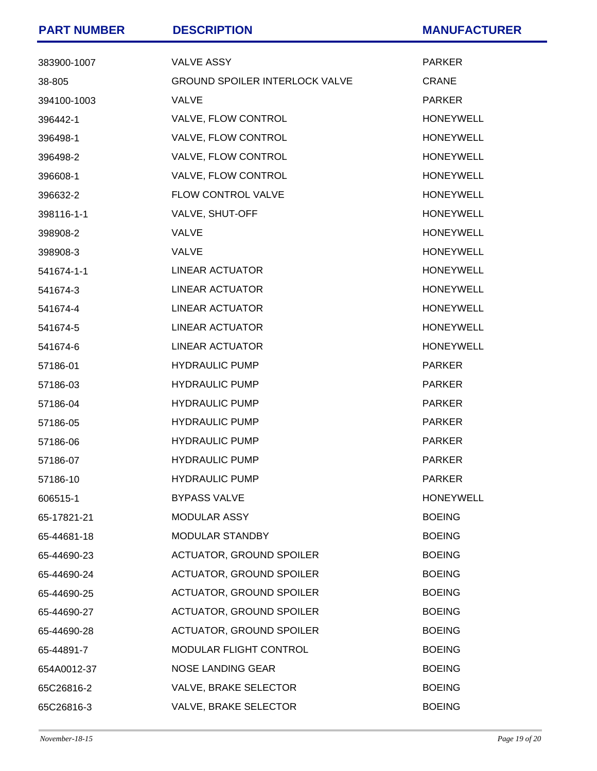| <b>PART NUMBER</b> | <b>DESCRIPTION</b>                    | <b>MANUFACTURER</b> |
|--------------------|---------------------------------------|---------------------|
| 383900-1007        | <b>VALVE ASSY</b>                     | <b>PARKER</b>       |
| 38-805             | <b>GROUND SPOILER INTERLOCK VALVE</b> | <b>CRANE</b>        |
| 394100-1003        | <b>VALVE</b>                          | <b>PARKER</b>       |
| 396442-1           | VALVE, FLOW CONTROL                   | <b>HONEYWELL</b>    |
| 396498-1           | VALVE, FLOW CONTROL                   | <b>HONEYWELL</b>    |
| 396498-2           | VALVE, FLOW CONTROL                   | <b>HONEYWELL</b>    |
| 396608-1           | VALVE, FLOW CONTROL                   | <b>HONEYWELL</b>    |
| 396632-2           | FLOW CONTROL VALVE                    | <b>HONEYWELL</b>    |
| 398116-1-1         | VALVE, SHUT-OFF                       | <b>HONEYWELL</b>    |
| 398908-2           | <b>VALVE</b>                          | <b>HONEYWELL</b>    |
| 398908-3           | <b>VALVE</b>                          | <b>HONEYWELL</b>    |
| 541674-1-1         | <b>LINEAR ACTUATOR</b>                | <b>HONEYWELL</b>    |
| 541674-3           | <b>LINEAR ACTUATOR</b>                | <b>HONEYWELL</b>    |
| 541674-4           | <b>LINEAR ACTUATOR</b>                | <b>HONEYWELL</b>    |
| 541674-5           | <b>LINEAR ACTUATOR</b>                | <b>HONEYWELL</b>    |
| 541674-6           | <b>LINEAR ACTUATOR</b>                | <b>HONEYWELL</b>    |
| 57186-01           | <b>HYDRAULIC PUMP</b>                 | <b>PARKER</b>       |
| 57186-03           | <b>HYDRAULIC PUMP</b>                 | <b>PARKER</b>       |
| 57186-04           | <b>HYDRAULIC PUMP</b>                 | <b>PARKER</b>       |
| 57186-05           | <b>HYDRAULIC PUMP</b>                 | <b>PARKER</b>       |
| 57186-06           | <b>HYDRAULIC PUMP</b>                 | <b>PARKER</b>       |
| 57186-07           | <b>HYDRAULIC PUMP</b>                 | <b>PARKER</b>       |
| 57186-10           | <b>HYDRAULIC PUMP</b>                 | <b>PARKER</b>       |
| 606515-1           | <b>BYPASS VALVE</b>                   | <b>HONEYWELL</b>    |
| 65-17821-21        | <b>MODULAR ASSY</b>                   | <b>BOEING</b>       |
| 65-44681-18        | MODULAR STANDBY                       | <b>BOEING</b>       |
| 65-44690-23        | <b>ACTUATOR, GROUND SPOILER</b>       | <b>BOEING</b>       |
| 65-44690-24        | <b>ACTUATOR, GROUND SPOILER</b>       | <b>BOEING</b>       |
| 65-44690-25        | <b>ACTUATOR, GROUND SPOILER</b>       | <b>BOEING</b>       |
| 65-44690-27        | <b>ACTUATOR, GROUND SPOILER</b>       | <b>BOEING</b>       |
| 65-44690-28        | <b>ACTUATOR, GROUND SPOILER</b>       | <b>BOEING</b>       |
| 65-44891-7         | MODULAR FLIGHT CONTROL                | <b>BOEING</b>       |
| 654A0012-37        | NOSE LANDING GEAR                     | <b>BOEING</b>       |
| 65C26816-2         | VALVE, BRAKE SELECTOR                 | <b>BOEING</b>       |
| 65C26816-3         | VALVE, BRAKE SELECTOR                 | <b>BOEING</b>       |